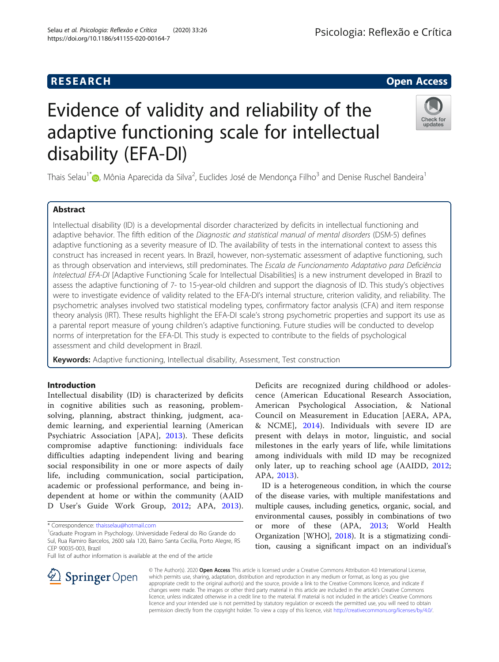# **RESEARCH CHE Open Access**

# Evidence of validity and reliability of the adaptive functioning scale for intellectual disability (EFA-DI)



Thais Selau<sup>1\*</sup>�[,](http://orcid.org/0000-0002-8805-4016) Mônia Aparecida da Silva<sup>2</sup>, Euclides José de Mendonça Filho<sup>3</sup> and Denise Ruschel Bandeira<sup>1</sup>

# Abstract

Intellectual disability (ID) is a developmental disorder characterized by deficits in intellectual functioning and adaptive behavior. The fifth edition of the Diagnostic and statistical manual of mental disorders (DSM-5) defines adaptive functioning as a severity measure of ID. The availability of tests in the international context to assess this construct has increased in recent years. In Brazil, however, non-systematic assessment of adaptive functioning, such as through observation and interviews, still predominates. The Escala de Funcionamento Adaptativo para Deficiência Intelectual EFA-DI [Adaptive Functioning Scale for Intellectual Disabilities] is a new instrument developed in Brazil to assess the adaptive functioning of 7- to 15-year-old children and support the diagnosis of ID. This study's objectives were to investigate evidence of validity related to the EFA-DI's internal structure, criterion validity, and reliability. The psychometric analyses involved two statistical modeling types, confirmatory factor analysis (CFA) and item response theory analysis (IRT). These results highlight the EFA-DI scale's strong psychometric properties and support its use as a parental report measure of young children's adaptive functioning. Future studies will be conducted to develop norms of interpretation for the EFA-DI. This study is expected to contribute to the fields of psychological assessment and child development in Brazil.

Keywords: Adaptive functioning, Intellectual disability, Assessment, Test construction

# Introduction

Intellectual disability (ID) is characterized by deficits in cognitive abilities such as reasoning, problemsolving, planning, abstract thinking, judgment, academic learning, and experiential learning (American Psychiatric Association [APA], [2013](#page-10-0)). These deficits compromise adaptive functioning: individuals face difficulties adapting independent living and bearing social responsibility in one or more aspects of daily life, including communication, social participation, academic or professional performance, and being independent at home or within the community (AAID D User's Guide Work Group, [2012;](#page-10-0) APA, [2013](#page-10-0)).

\* Correspondence: [thaisselau@hotmail.com](mailto:thaisselau@hotmail.com) <sup>1</sup>

<sup>1</sup>Graduate Program in Psychology. Universidade Federal do Rio Grande do Sul, Rua Ramiro Barcelos, 2600 sala 120, Bairro Santa Cecilia, Porto Alegre, RS CEP 90035-003, Brazil

Full list of author information is available at the end of the article



ID is a heterogeneous condition, in which the course of the disease varies, with multiple manifestations and multiple causes, including genetics, organic, social, and environmental causes, possibly in combinations of two or more of these (APA, [2013](#page-10-0); World Health Organization [WHO], [2018\)](#page-11-0). It is a stigmatizing condition, causing a significant impact on an individual's



© The Author(s). 2020 Open Access This article is licensed under a Creative Commons Attribution 4.0 International License, which permits use, sharing, adaptation, distribution and reproduction in any medium or format, as long as you give appropriate credit to the original author(s) and the source, provide a link to the Creative Commons licence, and indicate if changes were made. The images or other third party material in this article are included in the article's Creative Commons licence, unless indicated otherwise in a credit line to the material. If material is not included in the article's Creative Commons licence and your intended use is not permitted by statutory regulation or exceeds the permitted use, you will need to obtain permission directly from the copyright holder. To view a copy of this licence, visit <http://creativecommons.org/licenses/by/4.0/>.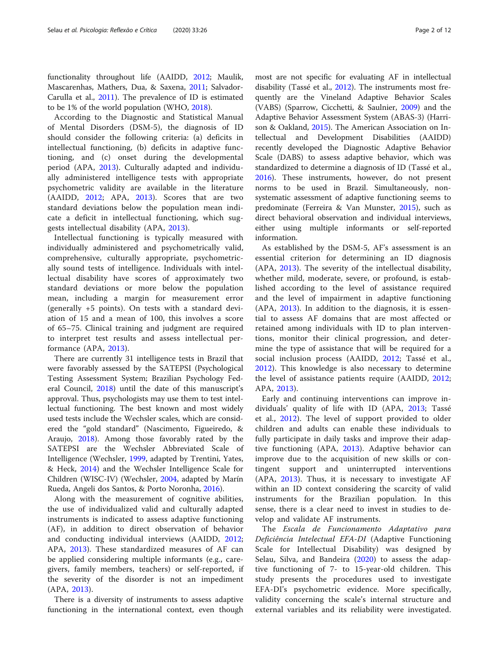functionality throughout life (AAIDD, [2012;](#page-10-0) Maulik, Mascarenhas, Mathers, Dua, & Saxena, [2011;](#page-10-0) Salvador-Carulla et al., [2011\)](#page-11-0). The prevalence of ID is estimated to be 1% of the world population (WHO, [2018](#page-11-0)).

According to the Diagnostic and Statistical Manual of Mental Disorders (DSM-5), the diagnosis of ID should consider the following criteria: (a) deficits in intellectual functioning, (b) deficits in adaptive functioning, and (c) onset during the developmental period (APA, [2013](#page-10-0)). Culturally adapted and individually administered intelligence tests with appropriate psychometric validity are available in the literature (AAIDD, [2012](#page-10-0); APA, [2013](#page-10-0)). Scores that are two standard deviations below the population mean indicate a deficit in intellectual functioning, which suggests intellectual disability (APA, [2013](#page-10-0)).

Intellectual functioning is typically measured with individually administered and psychometrically valid, comprehensive, culturally appropriate, psychometrically sound tests of intelligence. Individuals with intellectual disability have scores of approximately two standard deviations or more below the population mean, including a margin for measurement error (generally +5 points). On tests with a standard deviation of 15 and a mean of 100, this involves a score of 65–75. Clinical training and judgment are required to interpret test results and assess intellectual performance (APA, [2013\)](#page-10-0).

There are currently 31 intelligence tests in Brazil that were favorably assessed by the SATEPSI (Psychological Testing Assessment System; Brazilian Psychology Federal Council, [2018](#page-10-0)) until the date of this manuscript's approval. Thus, psychologists may use them to test intellectual functioning. The best known and most widely used tests include the Wechsler scales, which are considered the "gold standard" (Nascimento, Figueiredo, & Araujo, [2018](#page-10-0)). Among those favorably rated by the SATEPSI are the Wechsler Abbreviated Scale of Intelligence (Wechsler, [1999,](#page-11-0) adapted by Trentini, Yates, & Heck, [2014\)](#page-11-0) and the Wechsler Intelligence Scale for Children (WISC-IV) (Wechsler, [2004](#page-11-0), adapted by Marín Rueda, Angeli dos Santos, & Porto Noronha, [2016\)](#page-10-0).

Along with the measurement of cognitive abilities, the use of individualized valid and culturally adapted instruments is indicated to assess adaptive functioning (AF), in addition to direct observation of behavior and conducting individual interviews (AAIDD, [2012](#page-10-0); APA, [2013\)](#page-10-0). These standardized measures of AF can be applied considering multiple informants (e.g., caregivers, family members, teachers) or self-reported, if the severity of the disorder is not an impediment (APA, [2013\)](#page-10-0).

There is a diversity of instruments to assess adaptive functioning in the international context, even though

most are not specific for evaluating AF in intellectual disability (Tassé et al., [2012](#page-11-0)). The instruments most frequently are the Vineland Adaptive Behavior Scales (VABS) (Sparrow, Cicchetti, & Saulnier, [2009](#page-11-0)) and the Adaptive Behavior Assessment System (ABAS-3) (Harrison & Oakland, [2015\)](#page-10-0). The American Association on Intellectual and Development Disabilities (AAIDD) recently developed the Diagnostic Adaptive Behavior Scale (DABS) to assess adaptive behavior, which was standardized to determine a diagnosis of ID (Tassé et al., [2016](#page-11-0)). These instruments, however, do not present norms to be used in Brazil. Simultaneously, nonsystematic assessment of adaptive functioning seems to predominate (Ferreira & Van Munster, [2015](#page-10-0)), such as direct behavioral observation and individual interviews, either using multiple informants or self-reported information.

As established by the DSM-5, AF's assessment is an essential criterion for determining an ID diagnosis (APA, [2013\)](#page-10-0). The severity of the intellectual disability, whether mild, moderate, severe, or profound, is established according to the level of assistance required and the level of impairment in adaptive functioning (APA, [2013](#page-10-0)). In addition to the diagnosis, it is essential to assess AF domains that are most affected or retained among individuals with ID to plan interventions, monitor their clinical progression, and determine the type of assistance that will be required for a social inclusion process (AAIDD, [2012;](#page-10-0) Tassé et al., [2012\)](#page-11-0). This knowledge is also necessary to determine the level of assistance patients require (AAIDD, [2012](#page-10-0); APA, [2013\)](#page-10-0).

Early and continuing interventions can improve individuals' quality of life with ID (APA, [2013](#page-10-0); Tassé et al., [2012\)](#page-11-0). The level of support provided to older children and adults can enable these individuals to fully participate in daily tasks and improve their adaptive functioning (APA, [2013](#page-10-0)). Adaptive behavior can improve due to the acquisition of new skills or contingent support and uninterrupted interventions (APA, [2013](#page-10-0)). Thus, it is necessary to investigate AF within an ID context considering the scarcity of valid instruments for the Brazilian population. In this sense, there is a clear need to invest in studies to develop and validate AF instruments.

The Escala de Funcionamento Adaptativo para Deficiência Intelectual EFA-DI (Adaptive Functioning Scale for Intellectual Disability) was designed by Selau, Silva, and Bandeira ([2020](#page-11-0)) to assess the adaptive functioning of 7- to 15-year-old children. This study presents the procedures used to investigate EFA-DI's psychometric evidence. More specifically, validity concerning the scale's internal structure and external variables and its reliability were investigated.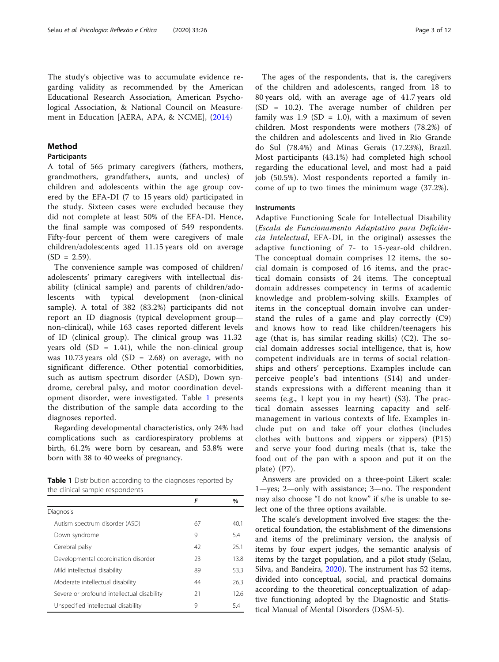The study's objective was to accumulate evidence regarding validity as recommended by the American Educational Research Association, American Psychological Association, & National Council on Measurement in Education [AERA, APA, & NCME], ([2014](#page-10-0))

# Method

#### **Participants**

A total of 565 primary caregivers (fathers, mothers, grandmothers, grandfathers, aunts, and uncles) of children and adolescents within the age group covered by the EFA-DI (7 to 15 years old) participated in the study. Sixteen cases were excluded because they did not complete at least 50% of the EFA-DI. Hence, the final sample was composed of 549 respondents. Fifty-four percent of them were caregivers of male children/adolescents aged 11.15 years old on average  $(SD = 2.59)$ .

The convenience sample was composed of children/ adolescents' primary caregivers with intellectual disability (clinical sample) and parents of children/adolescents with typical development (non-clinical sample). A total of 382 (83.2%) participants did not report an ID diagnosis (typical development group non-clinical), while 163 cases reported different levels of ID (clinical group). The clinical group was 11.32 years old  $(SD = 1.41)$ , while the non-clinical group was 10.73 years old  $(SD = 2.68)$  on average, with no significant difference. Other potential comorbidities, such as autism spectrum disorder (ASD), Down syndrome, cerebral palsy, and motor coordination development disorder, were investigated. Table 1 presents the distribution of the sample data according to the diagnoses reported.

Regarding developmental characteristics, only 24% had complications such as cardiorespiratory problems at birth, 61.2% were born by cesarean, and 53.8% were born with 38 to 40 weeks of pregnancy.

Table 1 Distribution according to the diagnoses reported by the clinical sample respondents

|                                            | F  | %    |
|--------------------------------------------|----|------|
| Diagnosis                                  |    |      |
| Autism spectrum disorder (ASD)             | 67 | 40.1 |
| Down syndrome                              | 9  | 5.4  |
| Cerebral palsy                             | 42 | 251  |
| Developmental coordination disorder        | 23 | 138  |
| Mild intellectual disability               | 89 | 53.3 |
| Moderate intellectual disability           | 44 | 263  |
| Severe or profound intellectual disability | 21 | 126  |
| Unspecified intellectual disability        | 9  | 54   |

The ages of the respondents, that is, the caregivers of the children and adolescents, ranged from 18 to 80 years old, with an average age of 41.7 years old (SD = 10.2). The average number of children per family was  $1.9$  (SD = 1.0), with a maximum of seven children. Most respondents were mothers (78.2%) of the children and adolescents and lived in Rio Grande do Sul (78.4%) and Minas Gerais (17.23%), Brazil. Most participants (43.1%) had completed high school regarding the educational level, and most had a paid job (50.5%). Most respondents reported a family income of up to two times the minimum wage (37.2%).

#### **Instruments**

Adaptive Functioning Scale for Intellectual Disability (Escala de Funcionamento Adaptativo para Deficiência Intelectual, EFA-DI, in the original) assesses the adaptive functioning of 7- to 15-year-old children. The conceptual domain comprises 12 items, the social domain is composed of 16 items, and the practical domain consists of 24 items. The conceptual domain addresses competency in terms of academic knowledge and problem-solving skills. Examples of items in the conceptual domain involve can understand the rules of a game and play correctly (C9) and knows how to read like children/teenagers his age (that is, has similar reading skills) (C2). The social domain addresses social intelligence, that is, how competent individuals are in terms of social relationships and others' perceptions. Examples include can perceive people's bad intentions (S14) and understands expressions with a different meaning than it seems (e.g., I kept you in my heart) (S3). The practical domain assesses learning capacity and selfmanagement in various contexts of life. Examples include put on and take off your clothes (includes clothes with buttons and zippers or zippers) (P15) and serve your food during meals (that is, take the food out of the pan with a spoon and put it on the plate) (P7).

Answers are provided on a three-point Likert scale: 1—yes; 2—only with assistance; 3—no. The respondent may also choose "I do not know" if s/he is unable to select one of the three options available.

The scale's development involved five stages: the theoretical foundation, the establishment of the dimensions and items of the preliminary version, the analysis of items by four expert judges, the semantic analysis of items by the target population, and a pilot study (Selau, Silva, and Bandeira, [2020](#page-11-0)). The instrument has 52 items, divided into conceptual, social, and practical domains according to the theoretical conceptualization of adaptive functioning adopted by the Diagnostic and Statistical Manual of Mental Disorders (DSM-5).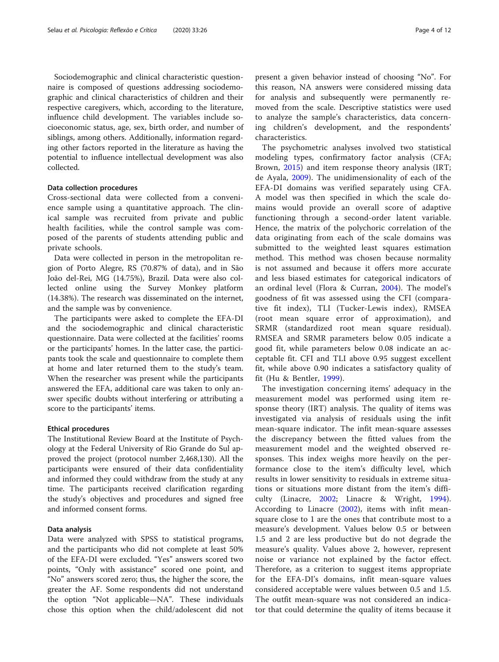Sociodemographic and clinical characteristic questionnaire is composed of questions addressing sociodemographic and clinical characteristics of children and their respective caregivers, which, according to the literature, influence child development. The variables include socioeconomic status, age, sex, birth order, and number of siblings, among others. Additionally, information regarding other factors reported in the literature as having the potential to influence intellectual development was also collected.

#### Data collection procedures

Cross-sectional data were collected from a convenience sample using a quantitative approach. The clinical sample was recruited from private and public health facilities, while the control sample was composed of the parents of students attending public and private schools.

Data were collected in person in the metropolitan region of Porto Alegre, RS (70.87% of data), and in São João del-Rei, MG (14.75%), Brazil. Data were also collected online using the Survey Monkey platform (14.38%). The research was disseminated on the internet, and the sample was by convenience.

The participants were asked to complete the EFA-DI and the sociodemographic and clinical characteristic questionnaire. Data were collected at the facilities' rooms or the participants' homes. In the latter case, the participants took the scale and questionnaire to complete them at home and later returned them to the study's team. When the researcher was present while the participants answered the EFA, additional care was taken to only answer specific doubts without interfering or attributing a score to the participants' items.

#### Ethical procedures

The Institutional Review Board at the Institute of Psychology at the Federal University of Rio Grande do Sul approved the project (protocol number 2,468,130). All the participants were ensured of their data confidentiality and informed they could withdraw from the study at any time. The participants received clarification regarding the study's objectives and procedures and signed free and informed consent forms.

#### Data analysis

Data were analyzed with SPSS to statistical programs, and the participants who did not complete at least 50% of the EFA-DI were excluded. "Yes" answers scored two points, "Only with assistance" scored one point, and "No" answers scored zero; thus, the higher the score, the greater the AF. Some respondents did not understand the option "Not applicable—NA". These individuals chose this option when the child/adolescent did not present a given behavior instead of choosing "No". For this reason, NA answers were considered missing data for analysis and subsequently were permanently removed from the scale. Descriptive statistics were used to analyze the sample's characteristics, data concerning children's development, and the respondents' characteristics.

The psychometric analyses involved two statistical modeling types, confirmatory factor analysis (CFA; Brown, [2015\)](#page-10-0) and item response theory analysis (IRT; de Ayala, [2009](#page-10-0)). The unidimensionality of each of the EFA-DI domains was verified separately using CFA. A model was then specified in which the scale domains would provide an overall score of adaptive functioning through a second-order latent variable. Hence, the matrix of the polychoric correlation of the data originating from each of the scale domains was submitted to the weighted least squares estimation method. This method was chosen because normality is not assumed and because it offers more accurate and less biased estimates for categorical indicators of an ordinal level (Flora & Curran, [2004](#page-10-0)). The model's goodness of fit was assessed using the CFI (comparative fit index), TLI (Tucker-Lewis index), RMSEA (root mean square error of approximation), and SRMR (standardized root mean square residual). RMSEA and SRMR parameters below 0.05 indicate a good fit, while parameters below 0.08 indicate an acceptable fit. CFI and TLI above 0.95 suggest excellent fit, while above 0.90 indicates a satisfactory quality of fit (Hu & Bentler, [1999\)](#page-10-0).

The investigation concerning items' adequacy in the measurement model was performed using item response theory (IRT) analysis. The quality of items was investigated via analysis of residuals using the infit mean-square indicator. The infit mean-square assesses the discrepancy between the fitted values from the measurement model and the weighted observed responses. This index weighs more heavily on the performance close to the item's difficulty level, which results in lower sensitivity to residuals in extreme situations or situations more distant from the item's difficulty (Linacre, [2002](#page-10-0); Linacre & Wright, [1994](#page-10-0)). According to Linacre [\(2002](#page-10-0)), items with infit meansquare close to 1 are the ones that contribute most to a measure's development. Values below 0.5 or between 1.5 and 2 are less productive but do not degrade the measure's quality. Values above 2, however, represent noise or variance not explained by the factor effect. Therefore, as a criterion to suggest items appropriate for the EFA-DI's domains, infit mean-square values considered acceptable were values between 0.5 and 1.5. The outfit mean-square was not considered an indicator that could determine the quality of items because it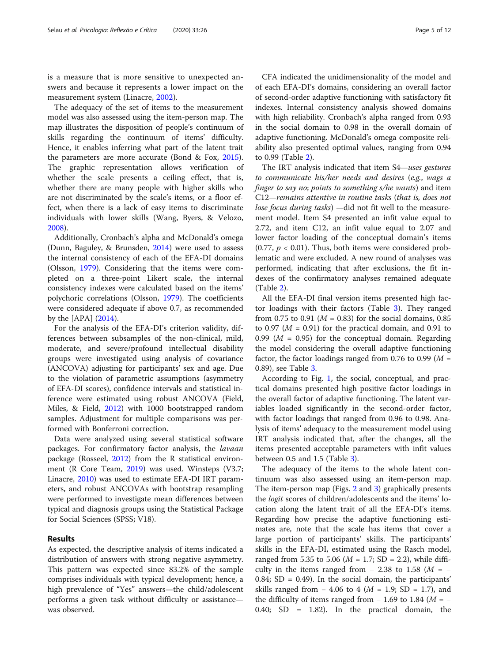is a measure that is more sensitive to unexpected answers and because it represents a lower impact on the measurement system (Linacre, [2002\)](#page-10-0).

The adequacy of the set of items to the measurement model was also assessed using the item-person map. The map illustrates the disposition of people's continuum of skills regarding the continuum of items' difficulty. Hence, it enables inferring what part of the latent trait the parameters are more accurate (Bond & Fox, [2015](#page-10-0)). The graphic representation allows verification of whether the scale presents a ceiling effect, that is, whether there are many people with higher skills who are not discriminated by the scale's items, or a floor effect, when there is a lack of easy items to discriminate individuals with lower skills (Wang, Byers, & Velozo, [2008](#page-11-0)).

Additionally, Cronbach's alpha and McDonald's omega (Dunn, Baguley, & Brunsden, [2014](#page-10-0)) were used to assess the internal consistency of each of the EFA-DI domains (Olsson, [1979\)](#page-11-0). Considering that the items were completed on a three-point Likert scale, the internal consistency indexes were calculated based on the items' polychoric correlations (Olsson, [1979](#page-11-0)). The coefficients were considered adequate if above 0.7, as recommended by the [APA] ([2014](#page-10-0)).

For the analysis of the EFA-DI's criterion validity, differences between subsamples of the non-clinical, mild, moderate, and severe/profound intellectual disability groups were investigated using analysis of covariance (ANCOVA) adjusting for participants' sex and age. Due to the violation of parametric assumptions (asymmetry of EFA-DI scores), confidence intervals and statistical inference were estimated using robust ANCOVA (Field, Miles, & Field, [2012\)](#page-10-0) with 1000 bootstrapped random samples. Adjustment for multiple comparisons was performed with Bonferroni correction.

Data were analyzed using several statistical software packages. For confirmatory factor analysis, the lavaan package (Rosseel, [2012](#page-11-0)) from the R statistical environment (R Core Team, [2019\)](#page-10-0) was used. Winsteps (V3.7; Linacre, [2010](#page-10-0)) was used to estimate EFA-DI IRT parameters, and robust ANCOVAs with bootstrap resampling were performed to investigate mean differences between typical and diagnosis groups using the Statistical Package for Social Sciences (SPSS; V18).

#### Results

As expected, the descriptive analysis of items indicated a distribution of answers with strong negative asymmetry. This pattern was expected since 83.2% of the sample comprises individuals with typical development; hence, a high prevalence of "Yes" answers—the child/adolescent performs a given task without difficulty or assistance was observed.

CFA indicated the unidimensionality of the model and of each EFA-DI's domains, considering an overall factor of second-order adaptive functioning with satisfactory fit indexes. Internal consistency analysis showed domains with high reliability. Cronbach's alpha ranged from 0.93 in the social domain to 0.98 in the overall domain of adaptive functioning. McDonald's omega composite reliability also presented optimal values, ranging from 0.94 to 0.99 (Table [2\)](#page-5-0).

The IRT analysis indicated that item S4—uses gestures to communicate his/her needs and desires (e.g., wags a finger to say no; points to something s/he wants) and item C12—remains attentive in routine tasks (that is, does not lose focus during tasks) —did not fit well to the measurement model. Item S4 presented an infit value equal to 2.72, and item C12, an infit value equal to 2.07 and lower factor loading of the conceptual domain's items  $(0.77, p < 0.01)$ . Thus, both items were considered problematic and were excluded. A new round of analyses was performed, indicating that after exclusions, the fit indexes of the confirmatory analyses remained adequate (Table [2\)](#page-5-0).

All the EFA-DI final version items presented high factor loadings with their factors (Table [3](#page-6-0)). They ranged from 0.75 to 0.91 ( $M = 0.83$ ) for the social domains, 0.85 to 0.97 ( $M = 0.91$ ) for the practical domain, and 0.91 to 0.99 ( $M = 0.95$ ) for the conceptual domain. Regarding the model considering the overall adaptive functioning factor, the factor loadings ranged from 0.76 to 0.99 ( $M =$ 0.89), see Table [3](#page-6-0).

According to Fig. [1](#page-7-0), the social, conceptual, and practical domains presented high positive factor loadings in the overall factor of adaptive functioning. The latent variables loaded significantly in the second-order factor, with factor loadings that ranged from 0.96 to 0.98. Analysis of items' adequacy to the measurement model using IRT analysis indicated that, after the changes, all the items presented acceptable parameters with infit values between 0.5 and 1.5 (Table [3](#page-6-0)).

The adequacy of the items to the whole latent continuum was also assessed using an item-person map. The item-person map (Figs. [2](#page-8-0) and [3\)](#page-9-0) graphically presents the logit scores of children/adolescents and the items' location along the latent trait of all the EFA-DI's items. Regarding how precise the adaptive functioning estimates are, note that the scale has items that cover a large portion of participants' skills. The participants' skills in the EFA-DI, estimated using the Rasch model, ranged from 5.35 to 5.06 ( $M = 1.7$ ; SD = 2.2), while difficulty in the items ranged from  $-$  2.38 to 1.58 ( $M = -$ 0.84; SD = 0.49). In the social domain, the participants' skills ranged from − 4.06 to 4 ( $M = 1.9$ ; SD = 1.7), and the difficulty of items ranged from  $-1.69$  to 1.84 ( $M = -$ 0.40; SD = 1.82). In the practical domain, the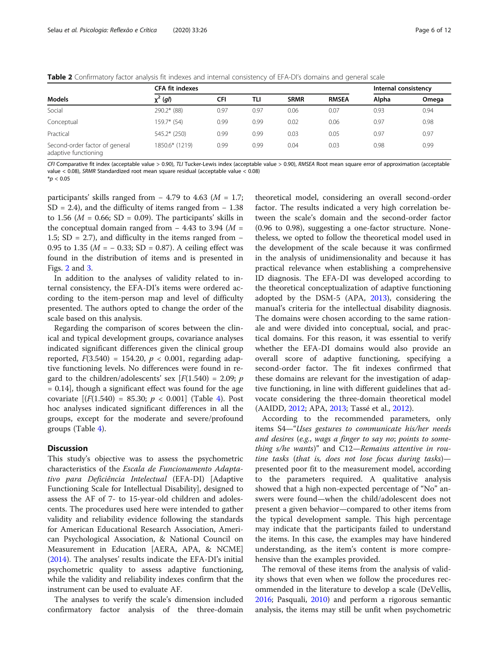<span id="page-5-0"></span>Table 2 Confirmatory factor analysis fit indexes and internal consistency of EFA-DI's domains and general scale

|                                                        | <b>CFA fit indexes</b> |      |      |             |              | Internal consistency |       |
|--------------------------------------------------------|------------------------|------|------|-------------|--------------|----------------------|-------|
| <b>Models</b>                                          | $\chi^2$ (gl)          | CFI  | TLI  | <b>SRMR</b> | <b>RMSEA</b> | Alpha                | Omega |
| Social                                                 | 290.2* (88)            | 0.97 | 0.97 | 0.06        | 0.07         | 0.93                 | 0.94  |
| Conceptual                                             | $159.7*$ (54)          | 0.99 | 0.99 | 0.02        | 0.06         | 0.97                 | 0.98  |
| Practical                                              | $545.2*$ (250)         | 0.99 | 0.99 | 0.03        | 0.05         | 0.97                 | 0.97  |
| Second-order factor of general<br>adaptive functioning | 1850.6* (1219)         | 0.99 | 0.99 | 0.04        | 0.03         | 0.98                 | 0.99  |

CFI Comparative fit index (acceptable value > 0.90), TLI Tucker-Lewis index (acceptable value > 0.90), RMSEA Root mean square error of approximation (acceptable value < 0.08), SRMR Standardized root mean square residual (acceptable value < 0.08)

 $*$ *p* < 0.05

participants' skills ranged from  $-4.79$  to 4.63 ( $M = 1.7$ ;  $SD = 2.4$ ), and the difficulty of items ranged from  $-1.38$ to 1.56 ( $M = 0.66$ ; SD = 0.09). The participants' skills in the conceptual domain ranged from  $-$  4.43 to 3.94 ( $M =$ 1.5; SD = 2.7), and difficulty in the items ranged from − 0.95 to 1.35 ( $M = -0.33$ ; SD = 0.87). A ceiling effect was found in the distribution of items and is presented in Figs. [2](#page-8-0) and [3.](#page-9-0)

In addition to the analyses of validity related to internal consistency, the EFA-DI's items were ordered according to the item-person map and level of difficulty presented. The authors opted to change the order of the scale based on this analysis.

Regarding the comparison of scores between the clinical and typical development groups, covariance analyses indicated significant differences given the clinical group reported,  $F(3.540) = 154.20, p < 0.001$ , regarding adaptive functioning levels. No differences were found in regard to the children/adolescents' sex  $[F(1.540) = 2.09; p$  $= 0.14$ , though a significant effect was found for the age covariate  $[(F(1.540) = 85.30; p < 0.001]$  $[(F(1.540) = 85.30; p < 0.001]$  $[(F(1.540) = 85.30; p < 0.001]$  (Table 4). Post hoc analyses indicated significant differences in all the groups, except for the moderate and severe/profound groups (Table [4](#page-9-0)).

#### **Discussion**

This study's objective was to assess the psychometric characteristics of the Escala de Funcionamento Adaptativo para Deficiência Intelectual (EFA-DI) [Adaptive Functioning Scale for Intellectual Disability], designed to assess the AF of 7- to 15-year-old children and adolescents. The procedures used here were intended to gather validity and reliability evidence following the standards for American Educational Research Association, American Psychological Association, & National Council on Measurement in Education [AERA, APA, & NCME] ([2014](#page-10-0)). The analyses' results indicate the EFA-DI's initial psychometric quality to assess adaptive functioning, while the validity and reliability indexes confirm that the instrument can be used to evaluate AF.

The analyses to verify the scale's dimension included confirmatory factor analysis of the three-domain

theoretical model, considering an overall second-order factor. The results indicated a very high correlation between the scale's domain and the second-order factor (0.96 to 0.98), suggesting a one-factor structure. Nonetheless, we opted to follow the theoretical model used in the development of the scale because it was confirmed in the analysis of unidimensionality and because it has practical relevance when establishing a comprehensive ID diagnosis. The EFA-DI was developed according to the theoretical conceptualization of adaptive functioning adopted by the DSM-5 (APA, [2013\)](#page-10-0), considering the manual's criteria for the intellectual disability diagnosis. The domains were chosen according to the same rationale and were divided into conceptual, social, and practical domains. For this reason, it was essential to verify whether the EFA-DI domains would also provide an overall score of adaptive functioning, specifying a second-order factor. The fit indexes confirmed that these domains are relevant for the investigation of adaptive functioning, in line with different guidelines that advocate considering the three-domain theoretical model (AAIDD, [2012](#page-10-0); APA, [2013](#page-10-0); Tassé et al., [2012\)](#page-11-0).

According to the recommended parameters, only items S4—"Uses gestures to communicate his/her needs and desires (e.g., wags a finger to say no; points to something s/he wants)" and C12—Remains attentive in routine tasks (that is, does not lose focus during tasks) presented poor fit to the measurement model, according to the parameters required. A qualitative analysis showed that a high non-expected percentage of "No" answers were found—when the child/adolescent does not present a given behavior—compared to other items from the typical development sample. This high percentage may indicate that the participants failed to understand the items. In this case, the examples may have hindered understanding, as the item's content is more comprehensive than the examples provided.

The removal of these items from the analysis of validity shows that even when we follow the procedures recommended in the literature to develop a scale (DeVellis, [2016](#page-10-0); Pasquali, [2010\)](#page-11-0) and perform a rigorous semantic analysis, the items may still be unfit when psychometric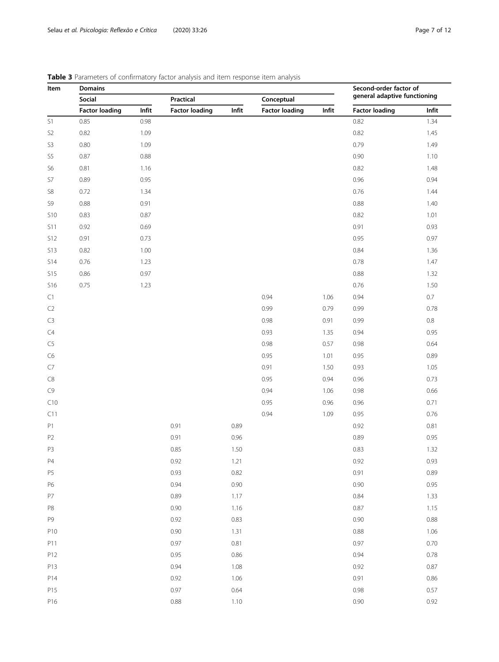# **Item** Domains **Domains** Democration **Democration Democration Second-order factor of** general adaptive functioning Social Practical Conceptual Factor loading Infit Factor loading Infit Factor loading Infit Factor loading Infit S1 0.85 0.98 0.98 0.98 0.98 0.98 0.82 0.82 1.34 S2 0.82 1.09 1.09 1.09 1.09 1.09 1.45 S3 0.80 1.09 1.09 1.49 S5 0.87 0.88 0.90 1.10 S6 0.81 1.16 1.16 1.16 1.18 1.18 1.48 S7 0.89 0.95 0.96 0.94 S8 0.72 1.34 1.34 0.76 1.44 S9 0.88 0.91 0.88 1.40 S10 0.83 0.87 0.87 0.82 1.01 S11 0.92 0.69 0.69 0.93 S12 0.91 0.73 0.95 0.97 S13 0.82 1.00 1.00 1.00 0.84 1.36 S14 0.76 1.23 1.23 0.78 1.47 S15 0.86 0.97 0.89 0.97 0.88 0.97 S16 0.75 1.23 1.23 0.76 1.50 C1 0.94 0.94 0.94 0.94 0.7  $\pm 0.94$  0.94 0.7 C2 0.79 0.99 0.78 0.79 0.99 0.78 C3 0.98 0.98 0.91 0.99 0.8  $C4$  0.95 1.35 0.94 0.95  $0.98$  0.57 0.98 0.64 C6 1.01 0.95 1.01 0.95 0.89 C7 0.91 1.50 0.93 1.05 C8 0.95 0.94 0.96 0.73 C9 0.94  $0.94$  1.06  $0.98$  0.66  $C10$  0.95 0.96 0.96 0.71  $0.94$  0.95 0.76 P1 0.91 0.91 0.89 0.92 0.81 0.81 P2 0.91 0.96 0.89 0.95 P3 0.85 0.85 1.50 0.83 0.83 1.32 P4 0.92 0.92 1.21 0.92 0.93 P5 0.93 0.82 0.91 0.89 P6 0.94 0.90 0.90 0.95 P7 0.89 0.89 1.17 0.84 1.33 P8 0.90 1.16 0.97 1.16 0.87 1.15 P9 0.92 0.83 0.90 0.84 0.92 0.83 0.90 0.88 0.92 0.88 0.92 0.88 0.90 0.88 0.92 0.88 0.92 0.88 0.92 0.88 0.92 0.88 P10 0.90 0.90 1.31 0.88 1.06 P11 0.97 0.97 0.81 0.97 0.70 P12 0.95 0.86 0.96 0.78 P13 0.94 0.94 1.08 0.92 0.87 P14 0.92 1.06 0.91 0.86 P15 0.97 0.64 0.97 0.64 0.97 0.97 0.98 0.57 P16 0.88 1.10 0.90 0.92

# <span id="page-6-0"></span>Table 3 Parameters of confirmatory factor analysis and item response item analysis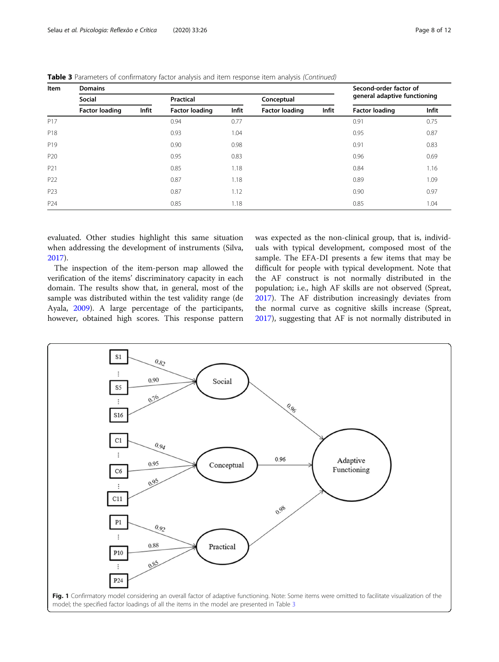| Item            | <b>Domains</b>        | Second-order factor of |                       |       |                       |       |                              |       |
|-----------------|-----------------------|------------------------|-----------------------|-------|-----------------------|-------|------------------------------|-------|
|                 | Social                |                        | Practical             |       | Conceptual            |       | general adaptive functioning |       |
|                 | <b>Factor loading</b> | Infit                  | <b>Factor loading</b> | Infit | <b>Factor loading</b> | Infit | <b>Factor loading</b>        | Infit |
| P <sub>17</sub> |                       |                        | 0.94                  | 0.77  |                       |       | 0.91                         | 0.75  |
| P <sub>18</sub> |                       |                        | 0.93                  | 1.04  |                       |       | 0.95                         | 0.87  |
| P <sub>19</sub> |                       |                        | 0.90                  | 0.98  |                       |       | 0.91                         | 0.83  |
| P <sub>20</sub> |                       |                        | 0.95                  | 0.83  |                       |       | 0.96                         | 0.69  |
| P <sub>21</sub> |                       |                        | 0.85                  | 1.18  |                       |       | 0.84                         | 1.16  |
| P <sub>22</sub> |                       |                        | 0.87                  | 1.18  |                       |       | 0.89                         | 1.09  |
| P <sub>23</sub> |                       |                        | 0.87                  | 1.12  |                       |       | 0.90                         | 0.97  |
| P <sub>24</sub> |                       |                        | 0.85                  | 1.18  |                       |       | 0.85                         | 1.04  |

<span id="page-7-0"></span>Table 3 Parameters of confirmatory factor analysis and item response item analysis (Continued)

evaluated. Other studies highlight this same situation when addressing the development of instruments (Silva, [2017](#page-11-0)).

The inspection of the item-person map allowed the verification of the items' discriminatory capacity in each domain. The results show that, in general, most of the sample was distributed within the test validity range (de Ayala, [2009](#page-10-0)). A large percentage of the participants, however, obtained high scores. This response pattern was expected as the non-clinical group, that is, individuals with typical development, composed most of the sample. The EFA-DI presents a few items that may be difficult for people with typical development. Note that the AF construct is not normally distributed in the population; i.e., high AF skills are not observed (Spreat, [2017](#page-11-0)). The AF distribution increasingly deviates from the normal curve as cognitive skills increase (Spreat, [2017](#page-11-0)), suggesting that AF is not normally distributed in

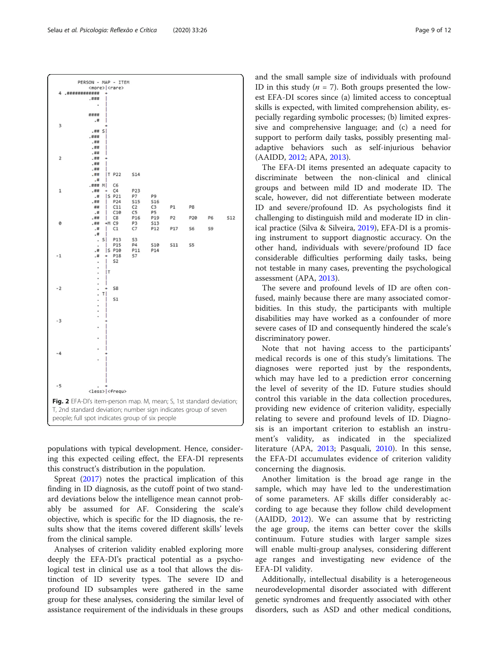populations with typical development. Hence, considering this expected ceiling effect, the EFA-DI represents this construct's distribution in the population.

people; full spot indicates group of six people

Spreat ([2017](#page-11-0)) notes the practical implication of this finding in ID diagnosis, as the cutoff point of two standard deviations below the intelligence mean cannot probably be assumed for AF. Considering the scale's objective, which is specific for the ID diagnosis, the results show that the items covered different skills' levels from the clinical sample.

Analyses of criterion validity enabled exploring more deeply the EFA-DI's practical potential as a psychological test in clinical use as a tool that allows the distinction of ID severity types. The severe ID and profound ID subsamples were gathered in the same group for these analyses, considering the similar level of assistance requirement of the individuals in these groups

and the small sample size of individuals with profound ID in this study ( $n = 7$ ). Both groups presented the lowest EFA-DI scores since (a) limited access to conceptual skills is expected, with limited comprehension ability, especially regarding symbolic processes; (b) limited expressive and comprehensive language; and (c) a need for support to perform daily tasks, possibly presenting maladaptive behaviors such as self-injurious behavior (AAIDD, [2012](#page-10-0); APA, [2013](#page-10-0)).

The EFA-DI items presented an adequate capacity to discriminate between the non-clinical and clinical groups and between mild ID and moderate ID. The scale, however, did not differentiate between moderate ID and severe/profound ID. As psychologists find it challenging to distinguish mild and moderate ID in clinical practice (Silva & Silveira, [2019\)](#page-11-0), EFA-DI is a promising instrument to support diagnostic accuracy. On the other hand, individuals with severe/profound ID face considerable difficulties performing daily tasks, being not testable in many cases, preventing the psychological assessment (APA, [2013](#page-10-0)).

The severe and profound levels of ID are often confused, mainly because there are many associated comorbidities. In this study, the participants with multiple disabilities may have worked as a confounder of more severe cases of ID and consequently hindered the scale's discriminatory power.

Note that not having access to the participants' medical records is one of this study's limitations. The diagnoses were reported just by the respondents, which may have led to a prediction error concerning the level of severity of the ID. Future studies should control this variable in the data collection procedures, providing new evidence of criterion validity, especially relating to severe and profound levels of ID. Diagnosis is an important criterion to establish an instrument's validity, as indicated in the specialized literature (APA, [2013;](#page-10-0) Pasquali, [2010\)](#page-11-0). In this sense, the EFA-DI accumulates evidence of criterion validity concerning the diagnosis.

Another limitation is the broad age range in the sample, which may have led to the underestimation of some parameters. AF skills differ considerably according to age because they follow child development (AAIDD, [2012](#page-10-0)). We can assume that by restricting the age group, the items can better cover the skills continuum. Future studies with larger sample sizes will enable multi-group analyses, considering different age ranges and investigating new evidence of the EFA-DI validity.

Additionally, intellectual disability is a heterogeneous neurodevelopmental disorder associated with different genetic syndromes and frequently associated with other disorders, such as ASD and other medical conditions,

<span id="page-8-0"></span>

PERSON - MAP - ITEM <more>|<rare

4 .############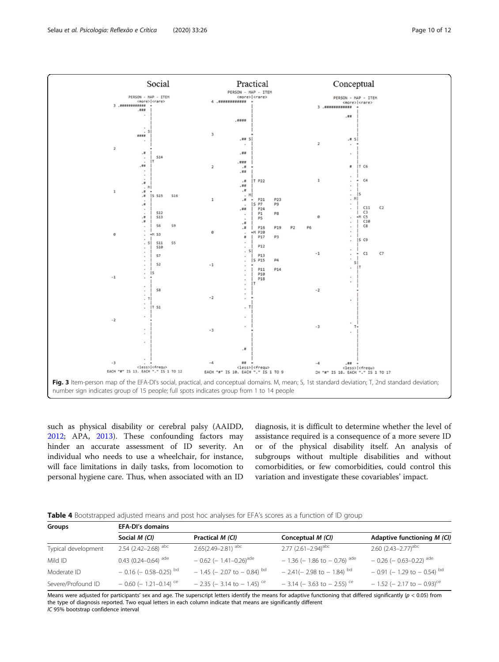<span id="page-9-0"></span>

such as physical disability or cerebral palsy (AAIDD, [2012](#page-10-0); APA, [2013\)](#page-10-0). These confounding factors may hinder an accurate assessment of ID severity. An individual who needs to use a wheelchair, for instance, will face limitations in daily tasks, from locomotion to personal hygiene care. Thus, when associated with an ID

diagnosis, it is difficult to determine whether the level of assistance required is a consequence of a more severe ID or of the physical disability itself. An analysis of subgroups without multiple disabilities and without comorbidities, or few comorbidities, could control this variation and investigate these covariables' impact.

|  |  |  | <b>Table 4</b> Bootstrapped adjusted means and post hoc analyses for EFA's scores as a function of ID group |  |
|--|--|--|-------------------------------------------------------------------------------------------------------------|--|
|--|--|--|-------------------------------------------------------------------------------------------------------------|--|

| Groups              | <b>EFA-DI's domains</b>             |                                           |                                                |                                           |  |  |  |
|---------------------|-------------------------------------|-------------------------------------------|------------------------------------------------|-------------------------------------------|--|--|--|
|                     | Social M (CI)                       | Practical M (CI)                          | Conceptual M (CI)                              | Adaptive functioning M (CI)               |  |  |  |
| Typical development | 2.54 $(2.42 - 2.68)$ <sup>abc</sup> | $2.65(2.49 - 2.81)$ <sup>abc</sup>        | $2.77$ (2.61-2.94) <sup>abc</sup>              | 2.60 $(2.43 - 2.77)^{abc}$                |  |  |  |
| Mild ID             | $0.43$ (0.24-0.64) <sup>ade</sup>   | $-0.62$ (- 1.41-0.26) <sup>ade</sup>      | $-1.36$ (- 1.86 to - 0.76) <sup>ade</sup>      | $-0.26$ ( $-0.63-0.22$ ) <sup>ade</sup>   |  |  |  |
| Moderate ID         | $-0.16$ ( $-0.58-0.25$ ) bd         | $-1.45$ (- 2.07 to - 0.84) <sup>bd</sup>  | $-2.41(-2.98 \text{ to } -1.84)$ <sup>bd</sup> | $-0.91$ (-1.29 to $-0.54$ ) <sup>bd</sup> |  |  |  |
| Severe/Profound ID  | $-0.60$ (- 1.21-0.14) <sup>ce</sup> | $-$ 2.35 (- 3.14 to - 1.45) <sup>ce</sup> | $-3.14$ ( $-3.63$ to $-2.55$ ) <sup>ce</sup>   | $-1.52$ (- 2.17 to - 0.93) <sup>ce</sup>  |  |  |  |

Means were adjusted for participants' sex and age. The superscript letters identify the means for adaptive functioning that differed significantly ( $p < 0.05$ ) from the type of diagnosis reported. Two equal letters in each column indicate that means are significantly different IC 95% bootstrap confidence interval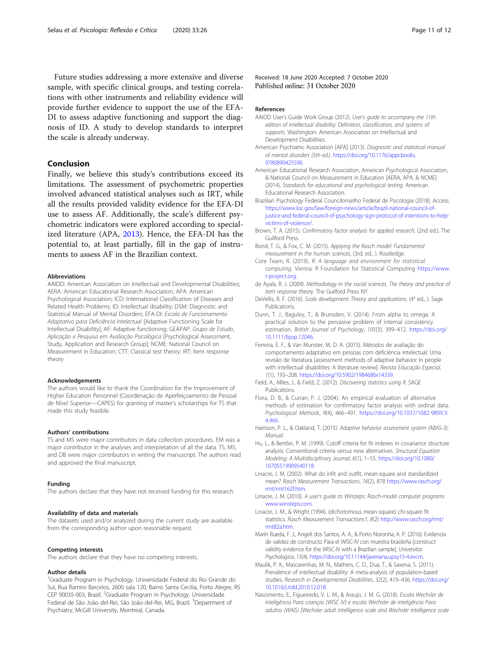<span id="page-10-0"></span>Future studies addressing a more extensive and diverse sample, with specific clinical groups, and testing correlations with other instruments and reliability evidence will provide further evidence to support the use of the EFA-DI to assess adaptive functioning and support the diagnosis of ID. A study to develop standards to interpret the scale is already underway.

## Conclusion

Finally, we believe this study's contributions exceed its limitations. The assessment of psychometric properties involved advanced statistical analyses such as IRT, while all the results provided validity evidence for the EFA-DI use to assess AF. Additionally, the scale's different psychometric indicators were explored according to specialized literature (APA, 2013). Hence, the EFA-DI has the potential to, at least partially, fill in the gap of instruments to assess AF in the Brazilian context.

#### Abbreviations

AAIDD: American Association on Intellectual and Developmental Disabilities; AERA: American Educational Research Association; APA: American Psychological Association; ICD: International Classification of Diseases and Related Health Problems; ID: Intellectual disability; DSM: Diagnostic and Statistical Manual of Mental Disorders; EFA-DI: Escala de Funcionamento Adaptativo para Deficiência Intelectual [Adaptive Functioning Scale for Intellectual Disability]; AF: Adaptive functioning; GEAPAP: Grupo de Estudo, Aplicação e Pesquisa em Avaliação Psicológica [Psychological Assessment, Study, Application and Research Group]; NCME: National Council on Measurement in Education; CTT: Classical test theory; IRT: Item response theory

#### Acknowledgements

The authors would like to thank the Coordination for the Improvement of Higher Education Personnel (Coordenação de Aperfeiçoamento de Pessoal de Nível Superior—CAPES) for granting of master's scholarships for TS that made this study feasible.

#### Authors' contributions

TS and MS were major contributors in data collection procedures. EM was a major contributor in the analyses and interpretation of all the data. TS, MS, and DB were major contributors in writing the manuscript. The authors read and approved the final manuscript.

#### Funding

The authors declare that they have not received funding for this research.

#### Availability of data and materials

The datasets used and/or analyzed during the current study are available from the corresponding author upon reasonable request.

#### Competing interests

The authors declare that they have no competing interests.

#### Author details

<sup>1</sup>Graduate Program in Psychology. Universidade Federal do Rio Grande do Sul, Rua Ramiro Barcelos, 2600 sala 120, Bairro Santa Cecilia, Porto Alegre, RS CEP 90035-003, Brazil. <sup>2</sup>Graduate Program in Psychology. Universidade Federal de São João del-Rei, São João del-Rei, MG, Brazil. <sup>3</sup>Department of Psychiatry, McGill University, Montreal, Canada.

Received: 18 June 2020 Accepted: 7 October 2020 Published online: 31 October 2020

#### References

- AAIDD User's Guide Work Group (2012). User's guide to accompany the 11th edition of intellectual disability: Definition, classification, and systems of supports. Washington: American Association on Intellectual and Development Disabilities.
- American Psychiatric Association [APA] (2013). Diagnostic and statistical manual of mental disorders (5th ed.). [https://doi.org/10.1176/appi.books.](https://doi.org/10.1176/appi.books.9780890425596) [9780890425596](https://doi.org/10.1176/appi.books.9780890425596).
- American Educational Research Association, American Psychological Association, & National Council on Measurement in Education [AERA, APA, & NCME] (2014). Standards for educational and psychological testing. American Educational Research Association.
- Brazilian Psychology Federal Councilonselho Federal de Psicologia (2018). Access: [https://www.loc.gov/law/foreign-news/article/brazil-national-council-of](https://www.loc.gov/law/foreign-news/article/brazil-national-council-of-justice-and-federal-council-of-psychology-sign-protocol-of-intentions-to-help-victims-of-violence/)[justice-and-federal-council-of-psychology-sign-protocol-of-intentions-to-help](https://www.loc.gov/law/foreign-news/article/brazil-national-council-of-justice-and-federal-council-of-psychology-sign-protocol-of-intentions-to-help-victims-of-violence/)[victims-of-violence/](https://www.loc.gov/law/foreign-news/article/brazil-national-council-of-justice-and-federal-council-of-psychology-sign-protocol-of-intentions-to-help-victims-of-violence/).
- Brown, T. A. (2015). Confirmatory factor analysis for applied research, (2nd ed.). The Guilford Press.
- Bond, T. G., & Fox, C. M. (2015). Applying the Rasch model: Fundamental measurement in the human sciences, (3rd. ed., ). Routledge.
- Core Team, R. (2019). R: A language and environment for statistical computing. Vienna: R Foundation for Statistical Computing [https://www.](https://www.r-project.org) [r-project.org.](https://www.r-project.org)
- de Ayala, R. J. (2009). Methodology in the social sciences. The theory and practice of item response theory. The Guilford Press NY.
- DeVellis, R. F. (2016). Scale development: Theory and applications, (4° ed., ). Sage Publications.
- Dunn, T. J., Baguley, T., & Brunsden, V. (2014). From alpha to omega: A practical solution to the pervasive problem of internal consistency estimation. British Journal of Psychology, 105(3), 399–412. [https://doi.org/](https://doi.org/10.1111/bjop.12046) [10.1111/bjop.12046.](https://doi.org/10.1111/bjop.12046)
- Ferreira, E. F., & Van Munster, M. D. A. (2015). Métodos de avaliação do comportamento adaptativo em pessoas com deficiência intelectual: Uma revisão de literatura [assessment methods of adaptive behavior in people with intellectual disabilities: A literature review]. Revista Educação Especial, 1(1), 193–208. <https://doi.org/10.5902/1984686x14339>.
- Field, A., Miles, J., & Field, Z. (2012). Discovering statistics using R. SAGE Publications.
- Flora, D. B., & Curran, P. J. (2004). An empirical evaluation of alternative methods of estimation for confirmatory factor analysis with ordinal data. Psychological Methods, 9(4), 466–491. [https://doi.org/10.1037/1082-989X.9.](https://doi.org/10.1037/1082-989X.9.4.466) [4.466.](https://doi.org/10.1037/1082-989X.9.4.466)
- Harrison, P. L., & Oakland, T. (2015). Adaptive behavior assessment system (ABAS-3): Manual.
- Hu, L., & Bentler, P. M. (1999). Cutoff criteria for fit indexes in covariance structure analysis: Conventional criteria versus new alternatives. Structural Equation Modeling: A Multidisciplinary Journal, 6(1), 1–55. [https://doi.org/10.1080/](https://doi.org/10.1080/10705519909540118) [10705519909540118.](https://doi.org/10.1080/10705519909540118)
- Linacre, J. M. (2002). What do infit and outfit, mean-square and standardized mean? Rasch Measurement Transactions, 16(2), 878 [https://www.rasch.org/](https://www.rasch.org/rmt/rmt162f.htm) [rmt/rmt162f.htm](https://www.rasch.org/rmt/rmt162f.htm).
- Linacre, J. M. (2010). A user's guide to Winsteps: Rasch-model computer programs [www.winsteps.com](http://www.winsteps.com).
- Linacre, J. M., & Wright (1994). (dichotomous mean-square) chi-square fit statistics. Rasch Measurement Transactions1, 8(2) [http://www.rasch.org/rmt/](http://www.rasch.org/rmt/rmt82a.htm) [rmt82a.htm.](http://www.rasch.org/rmt/rmt82a.htm)
- Marín Rueda, F. J., Angeli dos Santos, A. A., & Porto Noronha, A. P. (2016). Evidencia de validez de constructo Para el WISC-IV con muestra brasileña [construct validity evidence for the WISC-IV with a Brazilian sample]. Universitas Psychologica, 15(4). [https://doi.org/10.11144/javeriana.upsy15-4.evcm.](https://doi.org/10.11144/javeriana.upsy15-4.evcm)
- Maulik, P. K., Mascarenhas, M. N., Mathers, C. D., Dua, T., & Saxena, S. (2011). Prevalence of intellectual disability: A meta-analysis of population-based studies. Research in Developmental Disabilities, 32(2), 419–436. [https://doi.org/](https://doi.org/10.1016/j.ridd.2010.12.018) [10.1016/j.ridd.2010.12.018](https://doi.org/10.1016/j.ridd.2010.12.018).
- Nascimento, E., Figueiredo, V. L. M., & Araujo, J. M. G. (2018). Escala Wechsler de inteligência Para crianças (WISC IV) e escala Wechsler de inteligência Para adultos (WAIS) [Wechsler adult intelligence scale and Wechsler intelligence scale